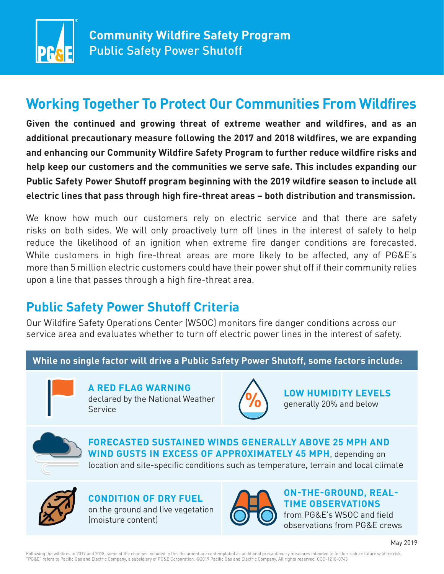

# **Working Together To Protect Our Communities From Wildfires**

**Given the continued and growing threat of extreme weather and wildfires, and as an additional precautionary measure following the 2017 and 2018 wildfires, we are expanding and enhancing our Community Wildfire Safety Program to further reduce wildfire risks and help keep our customers and the communities we serve safe. This includes expanding our Public Safety Power Shutoff program beginning with the 2019 wildfire season to include all electric lines that pass through high fire-threat areas – both distribution and transmission.** 

We know how much our customers rely on electric service and that there are safety risks on both sides. We will only proactively turn off lines in the interest of safety to help reduce the likelihood of an ignition when extreme fire danger conditions are forecasted. While customers in high fire-threat areas are more likely to be affected, any of PG&E's more than 5 million electric customers could have their power shut off if their community relies upon a line that passes through a high fire-threat area.

## **Public Safety Power Shutoff Criteria**

Our Wildfire Safety Operations Center (WSOC) monitors fire danger conditions across our service area and evaluates whether to turn off electric power lines in the interest of safety.

### **While no single factor will drive a Public Safety Power Shutoff, some factors include:**



**A RED FLAG WARNING** declared by the National Weather Service



**LOW HUMIDITY LEVELS** generally 20% and below



**FORECASTED SUSTAINED WINDS GENERALLY ABOVE 25 MPH AND WIND GUSTS IN EXCESS OF APPROXIMATELY 45 MPH**, depending on

location and site-specific conditions such as temperature, terrain and local climate



**CONDITION OF DRY FUEL** on the ground and live vegetation (moisture content)



**ON-THE-GROUND, REAL-TIME OBSERVATIONS**  from PG&E's WSOC and field

observations from PG&E crews

Following the wildfires in 2017 and 2018, some of the changes included in this document are contemplated as additional precautionary measures intended to further reduce future wildfire risk.<br>"PG&E" refers to Pacific Gas an